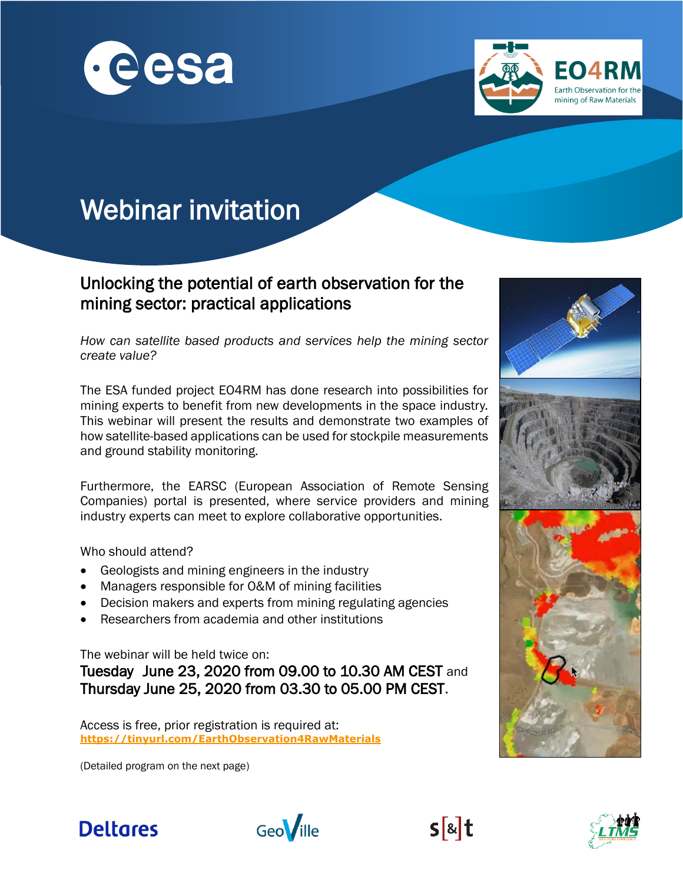



## Webinar invitation

## Unlocking the potential of earth observation for the mining sector: practical applications

*How can satellite based products and services help the mining sector create value?* 

The ESA funded project EO4RM has done research into possibilities for mining experts to benefit from new developments in the space industry. This webinar will present the results and demonstrate two examples of how satellite-based applications can be used for stockpile measurements and ground stability monitoring.

Furthermore, the EARSC (European Association of Remote Sensing Companies) portal is presented, where service providers and mining industry experts can meet to explore collaborative opportunities.

Who should attend?

l

- Geologists and mining engineers in the industry
- Managers responsible for O&M of mining facilities
- Decision makers and experts from mining regulating agencies
- Researchers from academia and other institutions

The webinar will be held twice on:

Tuesday June 23, 2020 from 09.00 to 10.30 AM CEST and Thursday June 25, 2020 from 03.30 to 05.00 PM CEST.

Access is free, prior registration is required at: **<https://tinyurl.com/EarthObservation4RawMaterials>**

(Detailed program on the next page)